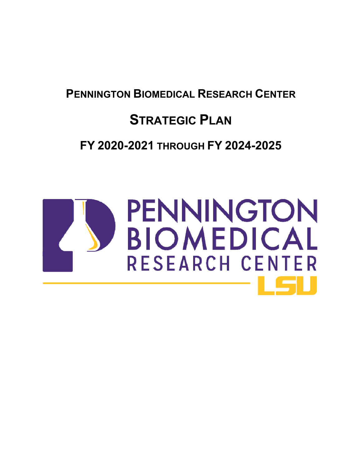## **PENNINGTON BIOMEDICAL RESEARCH CENTER**

# **STRATEGIC PLAN**

## **FY 2020-2021 THROUGH FY 2024-2025**

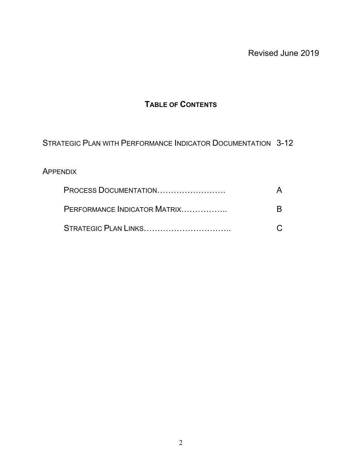## **TABLE OF CONTENTS**

STRATEGIC PLAN WITH PERFORMANCE INDICATOR DOCUMENTATION 3-12

## **APPENDIX**

| PROCESS DOCUMENTATION        |  |
|------------------------------|--|
| PERFORMANCE INDICATOR MATRIX |  |
| STRATEGIC PLAN LINKS         |  |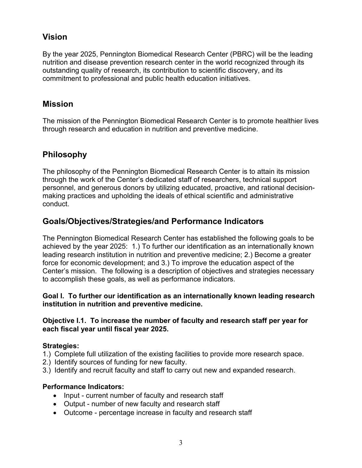## **Vision**

By the year 2025, Pennington Biomedical Research Center (PBRC) will be the leading nutrition and disease prevention research center in the world recognized through its outstanding quality of research, its contribution to scientific discovery, and its commitment to professional and public health education initiatives.

## **Mission**

The mission of the Pennington Biomedical Research Center is to promote healthier lives through research and education in nutrition and preventive medicine.

## **Philosophy**

The philosophy of the Pennington Biomedical Research Center is to attain its mission through the work of the Center's dedicated staff of researchers, technical support personnel, and generous donors by utilizing educated, proactive, and rational decisionmaking practices and upholding the ideals of ethical scientific and administrative conduct.

## **Goals/Objectives/Strategies/and Performance Indicators**

The Pennington Biomedical Research Center has established the following goals to be achieved by the year 2025: 1.) To further our identification as an internationally known leading research institution in nutrition and preventive medicine; 2.) Become a greater force for economic development; and 3.) To improve the education aspect of the Center's mission. The following is a description of objectives and strategies necessary to accomplish these goals, as well as performance indicators.

#### **Goal I. To further our identification as an internationally known leading research institution in nutrition and preventive medicine.**

#### **Objective I.1. To increase the number of faculty and research staff per year for each fiscal year until fiscal year 2025.**

#### **Strategies:**

- 1.) Complete full utilization of the existing facilities to provide more research space.
- 2.) Identify sources of funding for new faculty.
- 3.) Identify and recruit faculty and staff to carry out new and expanded research.

- Input current number of faculty and research staff
- Output number of new faculty and research staff
- Outcome percentage increase in faculty and research staff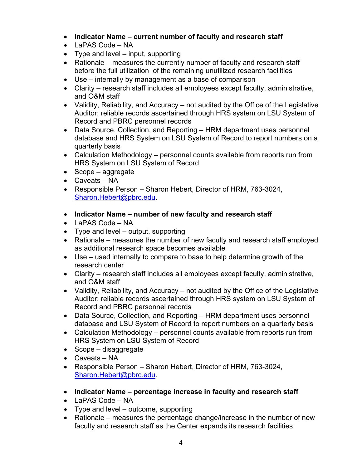- **Indicator Name current number of faculty and research staff**
- LaPAS Code NA
- $\bullet$  Type and level input, supporting
- Rationale measures the currently number of faculty and research staff before the full utilization of the remaining unutilized research facilities
- Use internally by management as a base of comparison
- Clarity research staff includes all employees except faculty, administrative, and O&M staff
- Validity, Reliability, and Accuracy not audited by the Office of the Legislative Auditor; reliable records ascertained through HRS system on LSU System of Record and PBRC personnel records
- Data Source, Collection, and Reporting HRM department uses personnel database and HRS System on LSU System of Record to report numbers on a quarterly basis
- Calculation Methodology personnel counts available from reports run from HRS System on LSU System of Record
- Scope aggregate
- Caveats NA
- Responsible Person Sharon Hebert, Director of HRM, 763-3024, [Sharon.Hebert@pbrc.edu.](mailto:Sharon.Hebert@pbrc.edu)
- **Indicator Name number of new faculty and research staff**
- LaPAS Code NA
- $\bullet$  Type and level output, supporting
- Rationale measures the number of new faculty and research staff employed as additional research space becomes available
- Use used internally to compare to base to help determine growth of the research center
- Clarity research staff includes all employees except faculty, administrative, and O&M staff
- Validity, Reliability, and Accuracy not audited by the Office of the Legislative Auditor; reliable records ascertained through HRS system on LSU System of Record and PBRC personnel records
- Data Source, Collection, and Reporting HRM department uses personnel database and LSU System of Record to report numbers on a quarterly basis
- Calculation Methodology personnel counts available from reports run from HRS System on LSU System of Record
- Scope disaggregate
- Caveats NA
- Responsible Person Sharon Hebert, Director of HRM, 763-3024, [Sharon.Hebert@pbrc.edu.](mailto:Sharon.Hebert@pbrc.edu)
- **Indicator Name percentage increase in faculty and research staff**
- LaPAS Code NA
- Type and level outcome, supporting
- Rationale measures the percentage change/increase in the number of new faculty and research staff as the Center expands its research facilities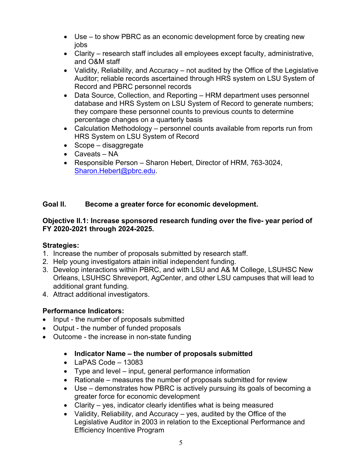- Use to show PBRC as an economic development force by creating new jobs
- Clarity research staff includes all employees except faculty, administrative, and O&M staff
- Validity, Reliability, and Accuracy not audited by the Office of the Legislative Auditor; reliable records ascertained through HRS system on LSU System of Record and PBRC personnel records
- Data Source, Collection, and Reporting HRM department uses personnel database and HRS System on LSU System of Record to generate numbers; they compare these personnel counts to previous counts to determine percentage changes on a quarterly basis
- Calculation Methodology personnel counts available from reports run from HRS System on LSU System of Record
- Scope disaggregate
- Caveats NA
- Responsible Person Sharon Hebert, Director of HRM, 763-3024, [Sharon.Hebert@pbrc.edu.](mailto:Sharon.Hebert@pbrc.edu)

## **Goal II. Become a greater force for economic development.**

#### **Objective II.1: Increase sponsored research funding over the five- year period of FY 2020-2021 through 2024-2025.**

## **Strategies:**

- 1. Increase the number of proposals submitted by research staff.
- 2. Help young investigators attain initial independent funding.
- 3. Develop interactions within PBRC, and with LSU and A& M College, LSUHSC New Orleans, LSUHSC Shreveport, AgCenter, and other LSU campuses that will lead to additional grant funding.
- 4. Attract additional investigators.

- Input the number of proposals submitted
- Output the number of funded proposals
- Outcome the increase in non-state funding
	- **Indicator Name the number of proposals submitted**
	- $\bullet$  LaPAS Code 13083
	- Type and level input, general performance information
	- Rationale measures the number of proposals submitted for review
	- Use demonstrates how PBRC is actively pursuing its goals of becoming a greater force for economic development
	- Clarity yes, indicator clearly identifies what is being measured
	- Validity, Reliability, and Accuracy  $-$  yes, audited by the Office of the Legislative Auditor in 2003 in relation to the Exceptional Performance and Efficiency Incentive Program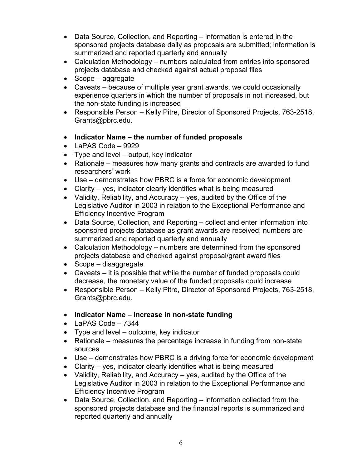- Data Source, Collection, and Reporting information is entered in the sponsored projects database daily as proposals are submitted; information is summarized and reported quarterly and annually
- Calculation Methodology numbers calculated from entries into sponsored projects database and checked against actual proposal files
- Scope aggregate
- Caveats because of multiple year grant awards, we could occasionally experience quarters in which the number of proposals in not increased, but the non-state funding is increased
- Responsible Person Kelly Pitre, Director of Sponsored Projects, 763-2518, [Grants@pbrc.edu.](mailto:Grants@pbrc.edu)
- **Indicator Name the number of funded proposals**
- LaPAS Code 9929
- Type and level output, key indicator
- Rationale measures how many grants and contracts are awarded to fund researchers' work
- Use demonstrates how PBRC is a force for economic development
- Clarity yes, indicator clearly identifies what is being measured
- Validity, Reliability, and Accuracy  $-$  yes, audited by the Office of the Legislative Auditor in 2003 in relation to the Exceptional Performance and Efficiency Incentive Program
- Data Source, Collection, and Reporting collect and enter information into sponsored projects database as grant awards are received; numbers are summarized and reported quarterly and annually
- Calculation Methodology numbers are determined from the sponsored projects database and checked against proposal/grant award files
- Scope disaggregate
- Caveats it is possible that while the number of funded proposals could decrease, the monetary value of the funded proposals could increase
- Responsible Person Kelly Pitre, Director of Sponsored Projects, 763-2518, [Grants@pbrc.edu.](mailto:Grants@pbrc.edu)
- **Indicator Name increase in non-state funding**
- LaPAS Code 7344
- Type and level outcome, key indicator
- Rationale measures the percentage increase in funding from non-state sources
- Use demonstrates how PBRC is a driving force for economic development
- Clarity yes, indicator clearly identifies what is being measured
- Validity, Reliability, and Accuracy  $-$  yes, audited by the Office of the Legislative Auditor in 2003 in relation to the Exceptional Performance and Efficiency Incentive Program
- Data Source, Collection, and Reporting information collected from the sponsored projects database and the financial reports is summarized and reported quarterly and annually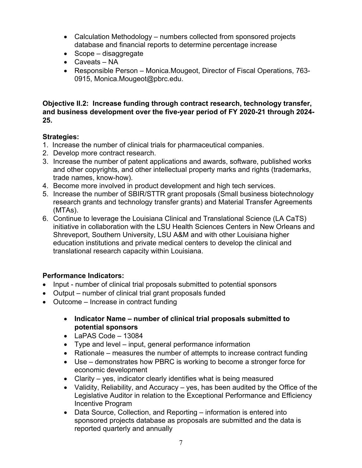- Calculation Methodology numbers collected from sponsored projects database and financial reports to determine percentage increase
- Scope disaggregate
- Caveats NA
- Responsible Person Monica.Mougeot, Director of Fiscal Operations, 763- 0915, [Monica.Mougeot@pbrc.edu.](mailto:Monica.Mougeot@pbrc.edu)

**Objective II.2: Increase funding through contract research, technology transfer, and business development over the five-year period of FY 2020-21 through 2024- 25.** 

#### **Strategies:**

- 1. Increase the number of clinical trials for pharmaceutical companies.
- 2. Develop more contract research.
- 3. Increase the number of patent applications and awards, software, published works and other copyrights, and other intellectual property marks and rights (trademarks, trade names, know-how).
- 4. Become more involved in product development and high tech services.
- 5. Increase the number of SBIR/STTR grant proposals (Small business biotechnology research grants and technology transfer grants) and Material Transfer Agreements (MTAs).
- 6. Continue to leverage the Louisiana Clinical and Translational Science (LA CaTS) initiative in collaboration with the LSU Health Sciences Centers in New Orleans and Shreveport, Southern University, LSU A&M and with other Louisiana higher education institutions and private medical centers to develop the clinical and translational research capacity within Louisiana.

- Input number of clinical trial proposals submitted to potential sponsors
- Output number of clinical trial grant proposals funded
- Outcome Increase in contract funding
	- **Indicator Name number of clinical trial proposals submitted to potential sponsors**
	- $\bullet$  LaPAS Code 13084
	- Type and level input, general performance information
	- Rationale measures the number of attempts to increase contract funding
	- Use demonstrates how PBRC is working to become a stronger force for economic development
	- Clarity yes, indicator clearly identifies what is being measured
	- Validity, Reliability, and Accuracy yes, has been audited by the Office of the Legislative Auditor in relation to the Exceptional Performance and Efficiency Incentive Program
	- Data Source, Collection, and Reporting information is entered into sponsored projects database as proposals are submitted and the data is reported quarterly and annually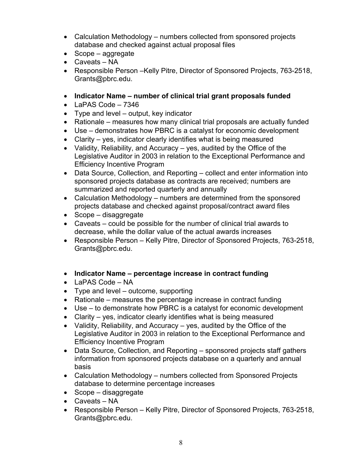- Calculation Methodology numbers collected from sponsored projects database and checked against actual proposal files
- $\bullet$  Scope aggregate
- Caveats NA
- Responsible Person –Kelly Pitre, Director of Sponsored Projects, 763-2518, [Grants@pbrc.edu.](mailto:Grants@pbrc.edu)
- **Indicator Name number of clinical trial grant proposals funded**
- $\bullet$  LaPAS Code 7346
- Type and level output, key indicator
- Rationale measures how many clinical trial proposals are actually funded
- Use demonstrates how PBRC is a catalyst for economic development
- Clarity yes, indicator clearly identifies what is being measured
- Validity, Reliability, and Accuracy  $-$  yes, audited by the Office of the Legislative Auditor in 2003 in relation to the Exceptional Performance and Efficiency Incentive Program
- Data Source, Collection, and Reporting collect and enter information into sponsored projects database as contracts are received; numbers are summarized and reported quarterly and annually
- Calculation Methodology numbers are determined from the sponsored projects database and checked against proposal/contract award files
- Scope disaggregate
- Caveats could be possible for the number of clinical trial awards to decrease, while the dollar value of the actual awards increases
- Responsible Person Kelly Pitre, Director of Sponsored Projects, 763-2518, [Grants@pbrc.edu.](mailto:Grants@pbrc.edu)
- **Indicator Name percentage increase in contract funding**
- LaPAS Code NA
- Type and level outcome, supporting
- Rationale measures the percentage increase in contract funding
- Use to demonstrate how PBRC is a catalyst for economic development
- Clarity yes, indicator clearly identifies what is being measured
- Validity, Reliability, and Accuracy yes, audited by the Office of the Legislative Auditor in 2003 in relation to the Exceptional Performance and Efficiency Incentive Program
- Data Source, Collection, and Reporting sponsored projects staff gathers information from sponsored projects database on a quarterly and annual basis
- Calculation Methodology numbers collected from Sponsored Projects database to determine percentage increases
- Scope disaggregate
- Caveats NA
- Responsible Person Kelly Pitre, Director of Sponsored Projects, 763-2518, [Grants@pbrc.edu.](mailto:Grants@pbrc.edu)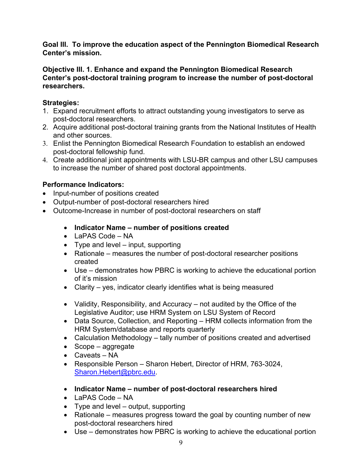**Goal III. To improve the education aspect of the Pennington Biomedical Research Center's mission.** 

#### **Objective III. 1. Enhance and expand the Pennington Biomedical Research Center's post-doctoral training program to increase the number of post-doctoral researchers.**

### **Strategies:**

- 1. Expand recruitment efforts to attract outstanding young investigators to serve as post-doctoral researchers.
- 2. Acquire additional post-doctoral training grants from the National Institutes of Health and other sources.
- 3. Enlist the Pennington Biomedical Research Foundation to establish an endowed post-doctoral fellowship fund.
- 4. Create additional joint appointments with LSU-BR campus and other LSU campuses to increase the number of shared post doctoral appointments.

- Input-number of positions created
- Output-number of post-doctoral researchers hired
- Outcome-Increase in number of post-doctoral researchers on staff
	- **Indicator Name number of positions created**
	- LaPAS Code NA
	- Type and level  $-$  input, supporting
	- Rationale measures the number of post-doctoral researcher positions created
	- Use demonstrates how PBRC is working to achieve the educational portion of it's mission
	- Clarity yes, indicator clearly identifies what is being measured
	- Validity, Responsibility, and Accuracy not audited by the Office of the Legislative Auditor; use HRM System on LSU System of Record
	- Data Source, Collection, and Reporting HRM collects information from the HRM System/database and reports quarterly
	- Calculation Methodology tally number of positions created and advertised
	- Scope aggregate
	- Caveats NA
	- Responsible Person Sharon Hebert, Director of HRM, 763-3024, [Sharon.Hebert@pbrc.edu.](mailto:Sharon.Hebert@pbrc.edu)
	- **Indicator Name number of post-doctoral researchers hired**
	- LaPAS Code NA
	- Type and level output, supporting
	- Rationale measures progress toward the goal by counting number of new post-doctoral researchers hired
	- Use demonstrates how PBRC is working to achieve the educational portion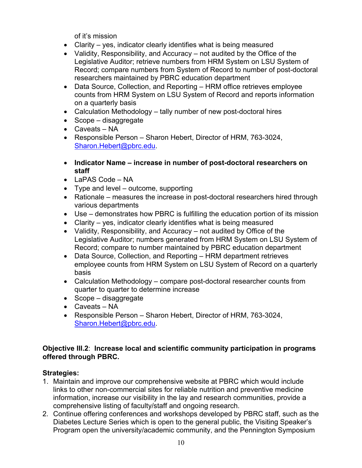of it's mission

- Clarity yes, indicator clearly identifies what is being measured
- Validity, Responsibility, and Accuracy not audited by the Office of the Legislative Auditor; retrieve numbers from HRM System on LSU System of Record; compare numbers from System of Record to number of post-doctoral researchers maintained by PBRC education department
- Data Source, Collection, and Reporting HRM office retrieves employee counts from HRM System on LSU System of Record and reports information on a quarterly basis
- Calculation Methodology tally number of new post-doctoral hires
- Scope disaggregate
- Caveats NA
- Responsible Person Sharon Hebert, Director of HRM, 763-3024, [Sharon.Hebert@pbrc.edu.](mailto:Sharon.Hebert@pbrc.edu)
- **Indicator Name increase in number of post-doctoral researchers on staff**
- LaPAS Code NA
- Type and level outcome, supporting
- Rationale measures the increase in post-doctoral researchers hired through various departments
- Use demonstrates how PBRC is fulfilling the education portion of its mission
- Clarity yes, indicator clearly identifies what is being measured
- Validity, Responsibility, and Accuracy not audited by Office of the Legislative Auditor; numbers generated from HRM System on LSU System of Record; compare to number maintained by PBRC education department
- Data Source, Collection, and Reporting HRM department retrieves employee counts from HRM System on LSU System of Record on a quarterly basis
- Calculation Methodology compare post-doctoral researcher counts from quarter to quarter to determine increase
- Scope disaggregate
- Caveats NA
- Responsible Person Sharon Hebert, Director of HRM, 763-3024, [Sharon.Hebert@pbrc.edu.](mailto:Sharon.Hebert@pbrc.edu)

#### **Objective III.2**: **Increase local and scientific community participation in programs offered through PBRC.**

#### **Strategies:**

- 1. Maintain and improve our comprehensive website at PBRC which would include links to other non-commercial sites for reliable nutrition and preventive medicine information, increase our visibility in the lay and research communities, provide a comprehensive listing of faculty/staff and ongoing research.
- 2. Continue offering conferences and workshops developed by PBRC staff, such as the Diabetes Lecture Series which is open to the general public, the Visiting Speaker's Program open the university/academic community, and the Pennington Symposium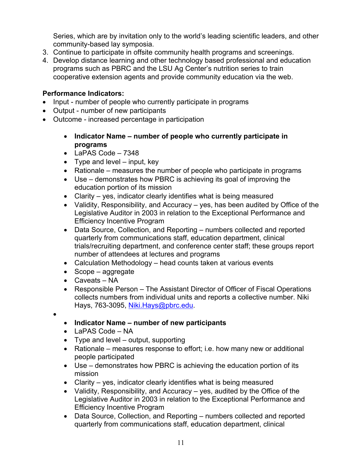Series, which are by invitation only to the world's leading scientific leaders, and other community-based lay symposia.

- 3. Continue to participate in offsite community health programs and screenings.
- 4. Develop distance learning and other technology based professional and education programs such as PBRC and the LSU Ag Center's nutrition series to train cooperative extension agents and provide community education via the web.

#### **Performance Indicators:**

- Input number of people who currently participate in programs
- Output number of new participants
- Outcome increased percentage in participation
	- **Indicator Name number of people who currently participate in programs**
	- LaPAS Code 7348
	- Type and level input, key
	- Rationale measures the number of people who participate in programs
	- Use demonstrates how PBRC is achieving its goal of improving the education portion of its mission
	- Clarity yes, indicator clearly identifies what is being measured
	- Validity, Responsibility, and Accuracy yes, has been audited by Office of the Legislative Auditor in 2003 in relation to the Exceptional Performance and Efficiency Incentive Program
	- Data Source, Collection, and Reporting numbers collected and reported quarterly from communications staff, education department, clinical trials/recruiting department, and conference center staff; these groups report number of attendees at lectures and programs
	- Calculation Methodology head counts taken at various events
	- Scope aggregate
	- Caveats NA

 $\bullet$ 

- Responsible Person The Assistant Director of Officer of Fiscal Operations collects numbers from individual units and reports a collective number. Niki Hays, 763-3095, [Niki.Hays@pbrc.edu.](mailto:Niki.Hays@pbrc.edu)
- **Indicator Name number of new participants**
- LaPAS Code NA
- Type and level output, supporting
- Rationale measures response to effort; i.e. how many new or additional people participated
- Use demonstrates how PBRC is achieving the education portion of its mission
- Clarity yes, indicator clearly identifies what is being measured
- Validity, Responsibility, and Accuracy yes, audited by the Office of the Legislative Auditor in 2003 in relation to the Exceptional Performance and Efficiency Incentive Program
- Data Source, Collection, and Reporting numbers collected and reported quarterly from communications staff, education department, clinical